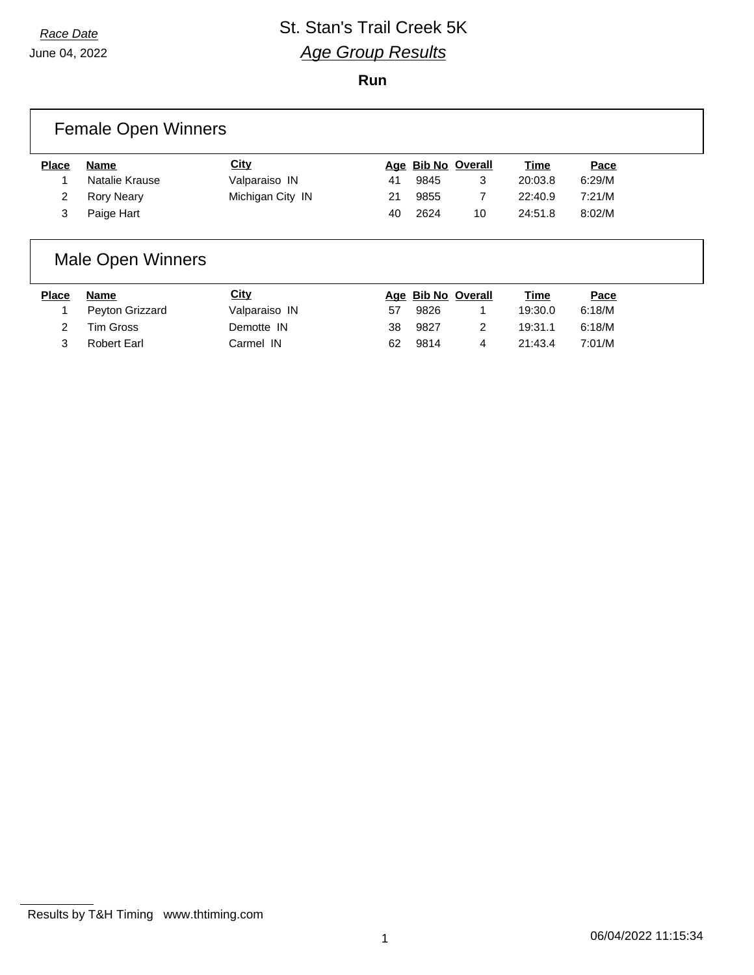June 04, 2022

#### *Race Date* St. Stan's Trail Creek 5K *Age Group Results*

**Run**

|              | <b>Female Open Winners</b> |                  |    |      |                    |             |        |  |
|--------------|----------------------------|------------------|----|------|--------------------|-------------|--------|--|
| <b>Place</b> | Name                       | <b>City</b>      |    |      | Age Bib No Overall | <u>Time</u> | Pace   |  |
|              | Natalie Krause             | Valparaiso IN    | 41 | 9845 | 3                  | 20:03.8     | 6:29/M |  |
|              | <b>Rory Neary</b>          | Michigan City IN | 21 | 9855 |                    | 22:40.9     | 7:21/M |  |
|              | Paige Hart                 |                  | 40 | 2624 | 10                 | 24:51.8     | 8:02/M |  |

## Male Open Winners

| Place         | Name            | <u>City</u>   |    | Age Bib No Overall |   | <u>Time</u> | <u>Pace</u> |
|---------------|-----------------|---------------|----|--------------------|---|-------------|-------------|
|               | Peyton Grizzard | Valparaiso IN | 57 | 9826               |   | 19:30.0     | 6:18/M      |
| $\mathcal{P}$ | Tim Gross       | Demotte IN    | 38 | 9827               |   | 19:31.1     | 6:18/M      |
|               | Robert Earl     | Carmel IN     | 62 | 9814               | 4 | 21:43.4     | 7:01/M      |

Results by T&H Timing www.thtiming.com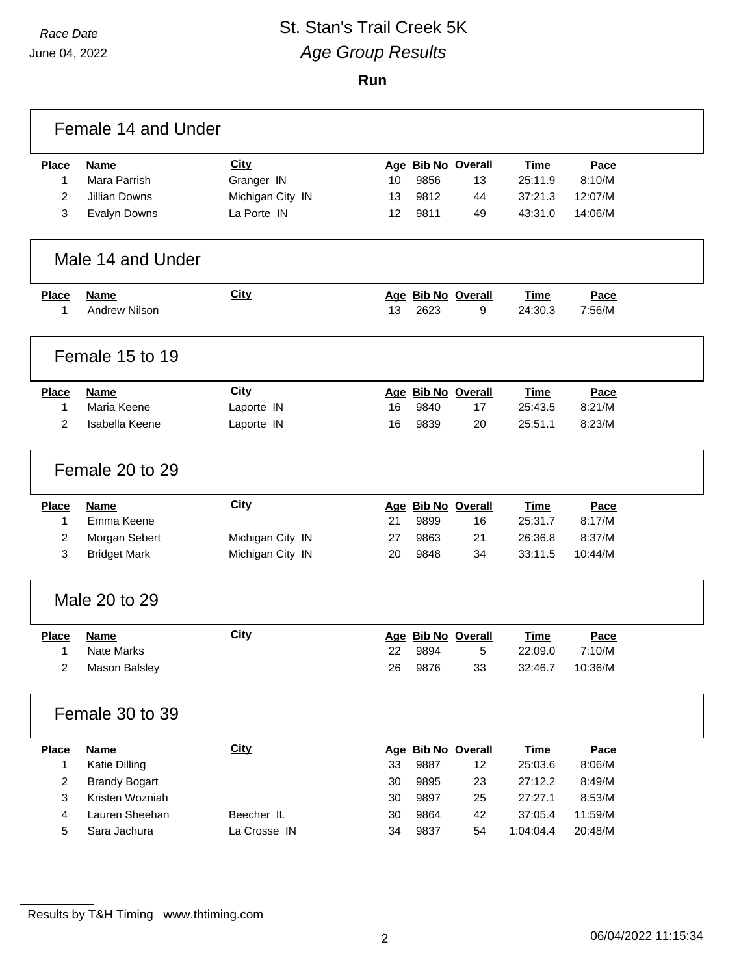June 04, 2022

## *Race Date* St. Stan's Trail Creek 5K *Age Group Results*

**Run**

|                | Female 14 and Under  |                  |    |      |                    |             |         |  |
|----------------|----------------------|------------------|----|------|--------------------|-------------|---------|--|
| <b>Place</b>   | Name                 | <b>City</b>      |    |      | Age Bib No Overall | <b>Time</b> | Pace    |  |
| 1              | Mara Parrish         | Granger IN       | 10 | 9856 | 13                 | 25:11.9     | 8:10/M  |  |
| $\overline{2}$ | <b>Jillian Downs</b> | Michigan City IN | 13 | 9812 | 44                 | 37:21.3     | 12:07/M |  |
| 3              | <b>Evalyn Downs</b>  | La Porte IN      | 12 | 9811 | 49                 | 43:31.0     | 14:06/M |  |
|                | Male 14 and Under    |                  |    |      |                    |             |         |  |
| <b>Place</b>   | <b>Name</b>          | <b>City</b>      |    |      | Age Bib No Overall | <b>Time</b> | Pace    |  |
| 1              | <b>Andrew Nilson</b> |                  | 13 | 2623 | 9                  | 24:30.3     | 7:56/M  |  |
|                | Female 15 to 19      |                  |    |      |                    |             |         |  |
| <b>Place</b>   | <b>Name</b>          | <b>City</b>      |    |      | Age Bib No Overall | <b>Time</b> | Pace    |  |
| 1              | Maria Keene          | Laporte IN       | 16 | 9840 | 17                 | 25:43.5     | 8:21/M  |  |
| $\overline{2}$ | Isabella Keene       | Laporte IN       | 16 | 9839 | 20                 | 25:51.1     | 8:23/M  |  |
|                | Female 20 to 29      |                  |    |      |                    |             |         |  |
| <b>Place</b>   | <b>Name</b>          | <b>City</b>      |    |      | Age Bib No Overall | <b>Time</b> | Pace    |  |
| 1              | Emma Keene           |                  | 21 | 9899 | 16                 | 25:31.7     | 8:17/M  |  |
| 2              | Morgan Sebert        | Michigan City IN | 27 | 9863 | 21                 | 26:36.8     | 8:37/M  |  |
| 3              | <b>Bridget Mark</b>  | Michigan City IN | 20 | 9848 | 34                 | 33:11.5     | 10:44/M |  |
|                | Male 20 to 29        |                  |    |      |                    |             |         |  |
| <b>Place</b>   | <b>Name</b>          | <b>City</b>      |    |      | Age Bib No Overall | <b>Time</b> | Pace    |  |
| 1              | Nate Marks           |                  | 22 | 9894 | 5                  | 22:09.0     | 7:10/M  |  |
| 2              | Mason Balsley        |                  | 26 | 9876 | 33                 | 32:46.7     | 10:36/M |  |
|                | Female 30 to 39      |                  |    |      |                    |             |         |  |
| Place          | <b>Name</b>          | <b>City</b>      |    |      | Age Bib No Overall | <b>Time</b> | Pace    |  |
| 1              | Katie Dilling        |                  | 33 | 9887 | 12                 | 25:03.6     | 8:06/M  |  |
| $\overline{2}$ | <b>Brandy Bogart</b> |                  | 30 | 9895 | 23                 | 27:12.2     | 8:49/M  |  |
| 3              | Kristen Wozniah      |                  | 30 | 9897 | 25                 | 27:27.1     | 8:53/M  |  |
| 4              | Lauren Sheehan       | Beecher IL       | 30 | 9864 | 42                 | 37:05.4     | 11:59/M |  |
| 5              | Sara Jachura         | La Crosse IN     | 34 | 9837 | 54                 | 1:04:04.4   | 20:48/M |  |

Results by T&H Timing www.thtiming.com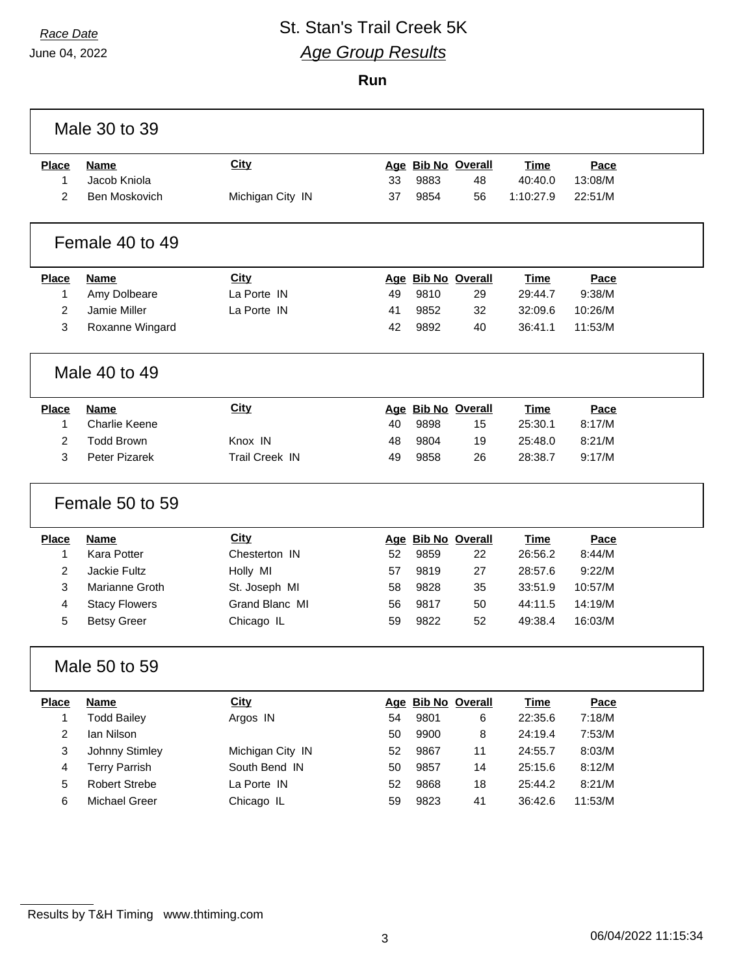June 04, 2022

# *Race Date* St. Stan's Trail Creek 5K *Age Group Results*

**Run**

|                | Male 30 to 39        |                  |    |      |                    |             |         |  |
|----------------|----------------------|------------------|----|------|--------------------|-------------|---------|--|
| <b>Place</b>   | <b>Name</b>          | <b>City</b>      |    |      | Age Bib No Overall | <b>Time</b> | Pace    |  |
| 1              | Jacob Kniola         |                  | 33 | 9883 | 48                 | 40:40.0     | 13:08/M |  |
| $\overline{2}$ | Ben Moskovich        | Michigan City IN | 37 | 9854 | 56                 | 1:10:27.9   | 22:51/M |  |
|                | Female 40 to 49      |                  |    |      |                    |             |         |  |
| <b>Place</b>   | <b>Name</b>          | <b>City</b>      |    |      | Age Bib No Overall | <b>Time</b> | Pace    |  |
| 1              | Amy Dolbeare         | La Porte IN      | 49 | 9810 | 29                 | 29:44.7     | 9:38/M  |  |
| $\overline{a}$ | Jamie Miller         | La Porte IN      | 41 | 9852 | 32                 | 32:09.6     | 10:26/M |  |
| 3              | Roxanne Wingard      |                  | 42 | 9892 | 40                 | 36:41.1     | 11:53/M |  |
| Male 40 to 49  |                      |                  |    |      |                    |             |         |  |
| <b>Place</b>   | <b>Name</b>          | <b>City</b>      |    |      | Age Bib No Overall | <b>Time</b> | Pace    |  |
| 1              | <b>Charlie Keene</b> |                  | 40 | 9898 | 15                 | 25:30.1     | 8:17/M  |  |
| 2              | <b>Todd Brown</b>    | Knox IN          | 48 | 9804 | 19                 | 25:48.0     | 8:21/M  |  |
| 3              | Peter Pizarek        | Trail Creek IN   | 49 | 9858 | 26                 | 28:38.7     | 9:17/M  |  |
|                | Female 50 to 59      |                  |    |      |                    |             |         |  |
| <b>Place</b>   | <b>Name</b>          | <b>City</b>      |    |      | Age Bib No Overall | <b>Time</b> | Pace    |  |
| 1              | Kara Potter          | Chesterton IN    | 52 | 9859 | 22                 | 26:56.2     | 8:44/M  |  |
| $\overline{2}$ | Jackie Fultz         | Holly MI         | 57 | 9819 | 27                 | 28:57.6     | 9:22/M  |  |
| 3              | Marianne Groth       | St. Joseph MI    | 58 | 9828 | 35                 | 33:51.9     | 10:57/M |  |
| 4              | <b>Stacy Flowers</b> | Grand Blanc MI   | 56 | 9817 | 50                 | 44:11.5     | 14:19/M |  |
| 5              | <b>Betsy Greer</b>   | Chicago IL       | 59 | 9822 | 52                 | 49:38.4     | 16:03/M |  |
|                | Male 50 to 59        |                  |    |      |                    |             |         |  |
| <b>Place</b>   | <b>Name</b>          | City             |    |      | Age Bib No Overall | <b>Time</b> | Pace    |  |
| 1              | <b>Todd Bailey</b>   | Argos IN         | 54 | 9801 | 6                  | 22:35.6     | 7:18/M  |  |
| 2              | Ian Nilson           |                  | 50 | 9900 | 8                  | 24:19.4     | 7:53/M  |  |
| 3              | Johnny Stimley       | Michigan City IN | 52 | 9867 | 11                 | 24:55.7     | 8:03/M  |  |
| 4              | <b>Terry Parrish</b> | South Bend IN    | 50 | 9857 | 14                 | 25:15.6     | 8:12/M  |  |
| 5              | <b>Robert Strebe</b> | La Porte IN      | 52 | 9868 | 18                 | 25:44.2     | 8:21/M  |  |
| 6              | Michael Greer        | Chicago IL       | 59 | 9823 | 41                 | 36:42.6     | 11:53/M |  |
|                |                      |                  |    |      |                    |             |         |  |

Results by T&H Timing www.thtiming.com